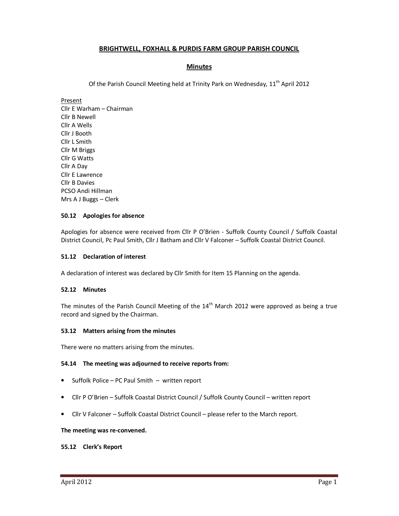# **BRIGHTWELL, FOXHALL & PURDIS FARM GROUP PARISH COUNCIL**

# **Minutes**

Of the Parish Council Meeting held at Trinity Park on Wednesday, 11<sup>th</sup> April 2012

Present

Cllr E Warham – Chairman Cllr B Newell Cllr A Wells Cllr J Booth Cllr L Smith Cllr M Briggs Cllr G Watts Cllr A Day Cllr E Lawrence Cllr B Davies PCSO Andi Hillman Mrs A J Buggs – Clerk

## **50.12 Apologies for absence**

Apologies for absence were received from Cllr P O'Brien - Suffolk County Council / Suffolk Coastal District Council, Pc Paul Smith, Cllr J Batham and Cllr V Falconer – Suffolk Coastal District Council.

## **51.12 Declaration of interest**

A declaration of interest was declared by Cllr Smith for Item 15 Planning on the agenda.

## **52.12 Minutes**

The minutes of the Parish Council Meeting of the  $14<sup>th</sup>$  March 2012 were approved as being a true record and signed by the Chairman.

## **53.12 Matters arising from the minutes**

There were no matters arising from the minutes.

## **54.14 The meeting was adjourned to receive reports from:**

- Suffolk Police PC Paul Smith written report
- Cllr P O'Brien Suffolk Coastal District Council / Suffolk County Council written report
- Cllr V Falconer Suffolk Coastal District Council please refer to the March report.

## **The meeting was re-convened.**

## **55.12 Clerk's Report**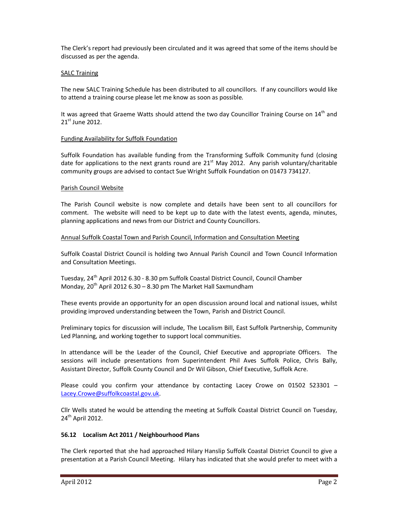The Clerk's report had previously been circulated and it was agreed that some of the items should be discussed as per the agenda.

## **SALC Training**

The new SALC Training Schedule has been distributed to all councillors. If any councillors would like to attend a training course please let me know as soon as possible.

It was agreed that Graeme Watts should attend the two day Councillor Training Course on  $14<sup>th</sup>$  and 21st June 2012.

## Funding Availability for Suffolk Foundation

Suffolk Foundation has available funding from the Transforming Suffolk Community fund (closing date for applications to the next grants round are  $21<sup>st</sup>$  May 2012. Any parish voluntary/charitable community groups are advised to contact Sue Wright Suffolk Foundation on 01473 734127.

## Parish Council Website

The Parish Council website is now complete and details have been sent to all councillors for comment. The website will need to be kept up to date with the latest events, agenda, minutes, planning applications and news from our District and County Councillors.

## Annual Suffolk Coastal Town and Parish Council, Information and Consultation Meeting

Suffolk Coastal District Council is holding two Annual Parish Council and Town Council Information and Consultation Meetings.

Tuesday, 24<sup>th</sup> April 2012 6.30 - 8.30 pm Suffolk Coastal District Council, Council Chamber Monday,  $20^{th}$  April 2012 6.30 – 8.30 pm The Market Hall Saxmundham

These events provide an opportunity for an open discussion around local and national issues, whilst providing improved understanding between the Town, Parish and District Council.

Preliminary topics for discussion will include, The Localism Bill, East Suffolk Partnership, Community Led Planning, and working together to support local communities.

In attendance will be the Leader of the Council, Chief Executive and appropriate Officers. The sessions will include presentations from Superintendent Phil Aves Suffolk Police, Chris Bally, Assistant Director, Suffolk County Council and Dr Wil Gibson, Chief Executive, Suffolk Acre.

Please could you confirm your attendance by contacting Lacey Crowe on 01502 523301 – Lacey.Crowe@suffolkcoastal.gov.uk.

Cllr Wells stated he would be attending the meeting at Suffolk Coastal District Council on Tuesday,  $24<sup>th</sup>$  April 2012.

## **56.12 Localism Act 2011 / Neighbourhood Plans**

The Clerk reported that she had approached Hilary Hanslip Suffolk Coastal District Council to give a presentation at a Parish Council Meeting. Hilary has indicated that she would prefer to meet with a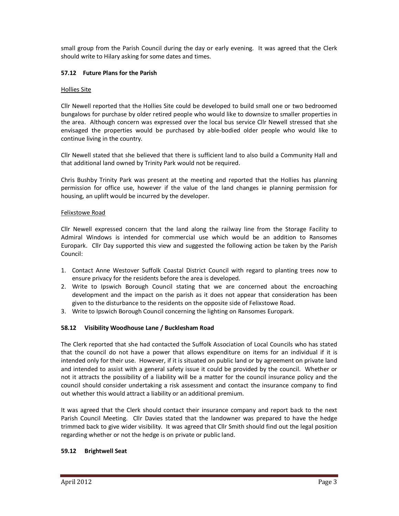small group from the Parish Council during the day or early evening. It was agreed that the Clerk should write to Hilary asking for some dates and times.

# **57.12 Future Plans for the Parish**

## Hollies Site

Cllr Newell reported that the Hollies Site could be developed to build small one or two bedroomed bungalows for purchase by older retired people who would like to downsize to smaller properties in the area. Although concern was expressed over the local bus service Cllr Newell stressed that she envisaged the properties would be purchased by able-bodied older people who would like to continue living in the country.

Cllr Newell stated that she believed that there is sufficient land to also build a Community Hall and that additional land owned by Trinity Park would not be required.

Chris Bushby Trinity Park was present at the meeting and reported that the Hollies has planning permission for office use, however if the value of the land changes ie planning permission for housing, an uplift would be incurred by the developer.

## Felixstowe Road

Cllr Newell expressed concern that the land along the railway line from the Storage Facility to Admiral Windows is intended for commercial use which would be an addition to Ransomes Europark. Cllr Day supported this view and suggested the following action be taken by the Parish Council:

- 1. Contact Anne Westover Suffolk Coastal District Council with regard to planting trees now to ensure privacy for the residents before the area is developed.
- 2. Write to Ipswich Borough Council stating that we are concerned about the encroaching development and the impact on the parish as it does not appear that consideration has been given to the disturbance to the residents on the opposite side of Felixstowe Road.
- 3. Write to Ipswich Borough Council concerning the lighting on Ransomes Europark.

## **58.12 Visibility Woodhouse Lane / Bucklesham Road**

The Clerk reported that she had contacted the Suffolk Association of Local Councils who has stated that the council do not have a power that allows expenditure on items for an individual if it is intended only for their use. However, if it is situated on public land or by agreement on private land and intended to assist with a general safety issue it could be provided by the council. Whether or not it attracts the possibility of a liability will be a matter for the council insurance policy and the council should consider undertaking a risk assessment and contact the insurance company to find out whether this would attract a liability or an additional premium.

It was agreed that the Clerk should contact their insurance company and report back to the next Parish Council Meeting. Cllr Davies stated that the landowner was prepared to have the hedge trimmed back to give wider visibility. It was agreed that Cllr Smith should find out the legal position regarding whether or not the hedge is on private or public land.

## **59.12 Brightwell Seat**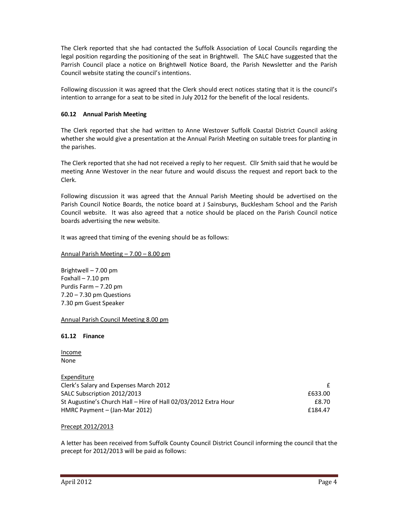The Clerk reported that she had contacted the Suffolk Association of Local Councils regarding the legal position regarding the positioning of the seat in Brightwell. The SALC have suggested that the Parrish Council place a notice on Brightwell Notice Board, the Parish Newsletter and the Parish Council website stating the council's intentions.

Following discussion it was agreed that the Clerk should erect notices stating that it is the council's intention to arrange for a seat to be sited in July 2012 for the benefit of the local residents.

# **60.12 Annual Parish Meeting**

The Clerk reported that she had written to Anne Westover Suffolk Coastal District Council asking whether she would give a presentation at the Annual Parish Meeting on suitable trees for planting in the parishes.

The Clerk reported that she had not received a reply to her request. Cllr Smith said that he would be meeting Anne Westover in the near future and would discuss the request and report back to the Clerk.

Following discussion it was agreed that the Annual Parish Meeting should be advertised on the Parish Council Notice Boards, the notice board at J Sainsburys, Bucklesham School and the Parish Council website. It was also agreed that a notice should be placed on the Parish Council notice boards advertising the new website.

It was agreed that timing of the evening should be as follows:

Annual Parish Meeting – 7.00 – 8.00 pm

Brightwell – 7.00 pm Foxhall – 7.10 pm Purdis Farm – 7.20 pm 7.20 – 7.30 pm Questions 7.30 pm Guest Speaker

Annual Parish Council Meeting 8.00 pm

## **61.12 Finance**

Income None

Expenditure Clerk's Salary and Expenses March 2012 **Expenses 1998 Expenses 1** SALC Subscription 2012/2013 **EG33.00 EG33.00** St Augustine's Church Hall – Hire of Hall 02/03/2012 Extra Hour **EXALL EXALL EXALL EXALL** E8.70 HMRC Payment – (Jan-Mar 2012) **Example 2018** 2018 **Example 2018** 

## Precept 2012/2013

A letter has been received from Suffolk County Council District Council informing the council that the precept for 2012/2013 will be paid as follows: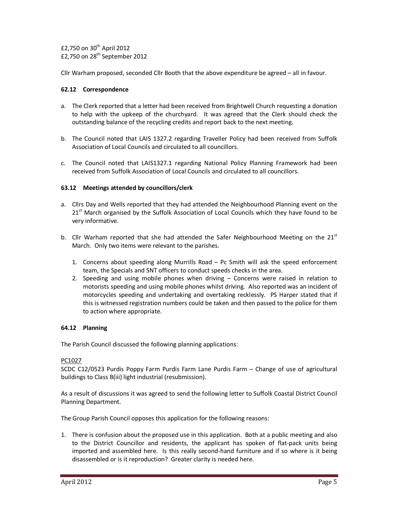$£2,750$  on  $30<sup>th</sup>$  April 2012  $£2,750$  on  $28<sup>th</sup>$  September 2012

Cllr Warham proposed, seconded Cllr Booth that the above expenditure be agreed – all in favour.

## **62.12 Correspondence**

- a. The Clerk reported that a letter had been received from Brightwell Church requesting a donation to help with the upkeep of the churchyard. It was agreed that the Clerk should check the outstanding balance of the recycling credits and report back to the next meeting.
- b. The Council noted that LAIS 1327.2 regarding Traveller Policy had been received from Suffolk Association of Local Councils and circulated to all councillors.
- c. The Council noted that LAIS1327.1 regarding National Policy Planning Framework had been received from Suffolk Association of Local Councils and circulated to all councillors.

## **63.12 Meetings attended by councillors/clerk**

- a. Cllrs Day and Wells reported that they had attended the Neighbourhood Planning event on the  $21<sup>st</sup>$  March organised by the Suffolk Association of Local Councils which they have found to be very informative.
- b. Cllr Warham reported that she had attended the Safer Neighbourhood Meeting on the  $21<sup>st</sup>$ March. Only two items were relevant to the parishes.
	- 1. Concerns about speeding along Murrills Road Pc Smith will ask the speed enforcement team, the Specials and SNT officers to conduct speeds checks in the area.
	- 2. Speeding and using mobile phones when driving Concerns were raised in relation to motorists speeding and using mobile phones whilst driving. Also reported was an incident of motorcycles speeding and undertaking and overtaking recklessly. PS Harper stated that if this is witnessed registration numbers could be taken and then passed to the police for them to action where appropriate.

## **64.12 Planning**

The Parish Council discussed the following planning applications:

## PC1027

SCDC C12/0523 Purdis Poppy Farm Purdis Farm Lane Purdis Farm – Change of use of agricultural buildings to Class B(iii) light industrial (resubmission).

As a result of discussions it was agreed to send the following letter to Suffolk Coastal District Council Planning Department.

The Group Parish Council opposes this application for the following reasons:

1. There is confusion about the proposed use in this application. Both at a public meeting and also to the District Councillor and residents, the applicant has spoken of flat-pack units being imported and assembled here. Is this really second-hand furniture and if so where is it being disassembled or is it reproduction? Greater clarity is needed here.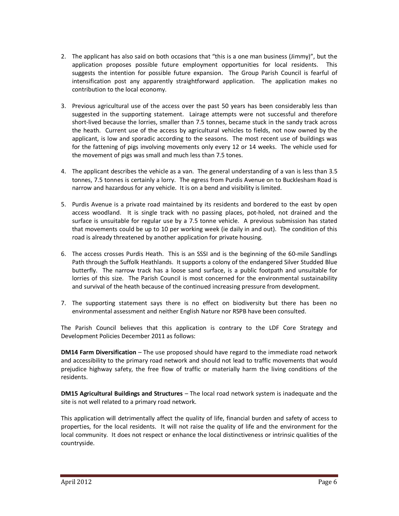- 2. The applicant has also said on both occasions that "this is a one man business (Jimmy)", but the application proposes possible future employment opportunities for local residents. This suggests the intention for possible future expansion. The Group Parish Council is fearful of intensification post any apparently straightforward application. The application makes no contribution to the local economy.
- 3. Previous agricultural use of the access over the past 50 years has been considerably less than suggested in the supporting statement. Lairage attempts were not successful and therefore short-lived because the lorries, smaller than 7.5 tonnes, became stuck in the sandy track across the heath. Current use of the access by agricultural vehicles to fields, not now owned by the applicant, is low and sporadic according to the seasons. The most recent use of buildings was for the fattening of pigs involving movements only every 12 or 14 weeks. The vehicle used for the movement of pigs was small and much less than 7.5 tones.
- 4. The applicant describes the vehicle as a van. The general understanding of a van is less than 3.5 tonnes, 7.5 tonnes is certainly a lorry. The egress from Purdis Avenue on to Bucklesham Road is narrow and hazardous for any vehicle. It is on a bend and visibility is limited.
- 5. Purdis Avenue is a private road maintained by its residents and bordered to the east by open access woodland. It is single track with no passing places, pot-holed, not drained and the surface is unsuitable for regular use by a 7.5 tonne vehicle. A previous submission has stated that movements could be up to 10 per working week (ie daily in and out). The condition of this road is already threatened by another application for private housing.
- 6. The access crosses Purdis Heath. This is an SSSI and is the beginning of the 60-mile Sandlings Path through the Suffolk Heathlands. It supports a colony of the endangered Silver Studded Blue butterfly. The narrow track has a loose sand surface, is a public footpath and unsuitable for lorries of this size. The Parish Council is most concerned for the environmental sustainability and survival of the heath because of the continued increasing pressure from development.
- 7. The supporting statement says there is no effect on biodiversity but there has been no environmental assessment and neither English Nature nor RSPB have been consulted.

The Parish Council believes that this application is contrary to the LDF Core Strategy and Development Policies December 2011 as follows:

**DM14 Farm Diversification** – The use proposed should have regard to the immediate road network and accessibility to the primary road network and should not lead to traffic movements that would prejudice highway safety, the free flow of traffic or materially harm the living conditions of the residents.

**DM15 Agricultural Buildings and Structures** – The local road network system is inadequate and the site is not well related to a primary road network.

This application will detrimentally affect the quality of life, financial burden and safety of access to properties, for the local residents. It will not raise the quality of life and the environment for the local community. It does not respect or enhance the local distinctiveness or intrinsic qualities of the countryside.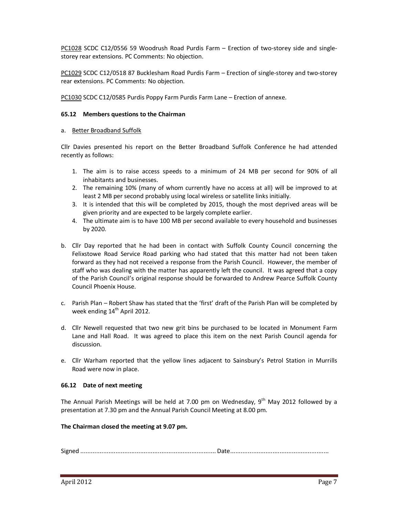PC1028 SCDC C12/0556 59 Woodrush Road Purdis Farm – Erection of two-storey side and singlestorey rear extensions. PC Comments: No objection.

PC1029 SCDC C12/0518 87 Bucklesham Road Purdis Farm – Erection of single-storey and two-storey rear extensions. PC Comments: No objection.

PC1030 SCDC C12/0585 Purdis Poppy Farm Purdis Farm Lane – Erection of annexe.

## **65.12 Members questions to the Chairman**

## a. Better Broadband Suffolk

Cllr Davies presented his report on the Better Broadband Suffolk Conference he had attended recently as follows:

- 1. The aim is to raise access speeds to a minimum of 24 MB per second for 90% of all inhabitants and businesses.
- 2. The remaining 10% (many of whom currently have no access at all) will be improved to at least 2 MB per second probably using local wireless or satellite links initially.
- 3. It is intended that this will be completed by 2015, though the most deprived areas will be given priority and are expected to be largely complete earlier.
- 4. The ultimate aim is to have 100 MB per second available to every household and businesses by 2020.
- b. Cllr Day reported that he had been in contact with Suffolk County Council concerning the Felixstowe Road Service Road parking who had stated that this matter had not been taken forward as they had not received a response from the Parish Council. However, the member of staff who was dealing with the matter has apparently left the council. It was agreed that a copy of the Parish Council's original response should be forwarded to Andrew Pearce Suffolk County Council Phoenix House.
- c. Parish Plan Robert Shaw has stated that the 'first' draft of the Parish Plan will be completed by week ending  $14<sup>th</sup>$  April 2012.
- d. Cllr Newell requested that two new grit bins be purchased to be located in Monument Farm Lane and Hall Road. It was agreed to place this item on the next Parish Council agenda for discussion.
- e. Cllr Warham reported that the yellow lines adjacent to Sainsbury's Petrol Station in Murrills Road were now in place.

## **66.12 Date of next meeting**

The Annual Parish Meetings will be held at 7.00 pm on Wednesday,  $9^{th}$  May 2012 followed by a presentation at 7.30 pm and the Annual Parish Council Meeting at 8.00 pm.

## **The Chairman closed the meeting at 9.07 pm.**

Signed ............................................................................. Date ........................................................